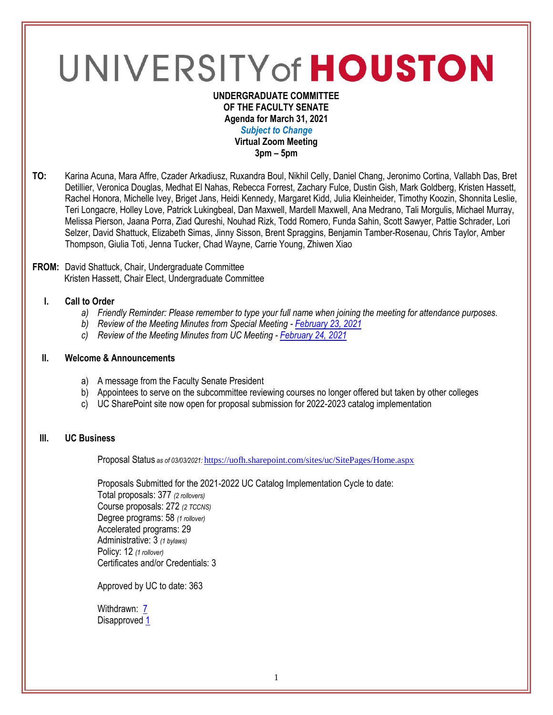# UNIVERSITY of HOUSTON

#### **UNDERGRADUATE COMMITTEE OF THE FACULTY SENATE Agenda for March 31, 2021** *Subject to Change* **Virtual Zoom Meeting 3pm – 5pm**

**TO:** Karina Acuna, Mara Affre, Czader Arkadiusz, Ruxandra Boul, Nikhil Celly, Daniel Chang, Jeronimo Cortina, Vallabh Das, Bret Detillier, Veronica Douglas, Medhat El Nahas, Rebecca Forrest, Zachary Fulce, Dustin Gish, Mark Goldberg, Kristen Hassett, Rachel Honora, Michelle Ivey, Briget Jans, Heidi Kennedy, Margaret Kidd, Julia Kleinheider, Timothy Koozin, Shonnita Leslie, Teri Longacre, Holley Love, Patrick Lukingbeal, Dan Maxwell, Mardell Maxwell, Ana Medrano, Tali Morgulis, Michael Murray, Melissa Pierson, Jaana Porra, Ziad Qureshi, Nouhad Rizk, Todd Romero, Funda Sahin, Scott Sawyer, Pattie Schrader, Lori Selzer, David Shattuck, Elizabeth Simas, Jinny Sisson, Brent Spraggins, Benjamin Tamber-Rosenau, Chris Taylor, Amber Thompson, Giulia Toti, Jenna Tucker, Chad Wayne, Carrie Young, Zhiwen Xiao

### **FROM:** David Shattuck, Chair, Undergraduate Committee Kristen Hassett, Chair Elect, Undergraduate Committee

# **I. Call to Order**

- *a) Friendly Reminder: Please remember to type your full name when joining the meeting for attendance purposes.*
- *b) Review of the Meeting Minutes from Special Meeting - [February 23, 2021](https://uh.edu/undergraduate-committee/meetings/agendas-minutes/ay-2021/m_2021_0223.pdf)*
- *c) Review of the Meeting Minutes from UC Meeting - [February 24, 2021](https://uh.edu/undergraduate-committee/meetings/agendas-minutes/ay-2021/m_2021_0224.pdf)*

### **II. Welcome & Announcements**

- a) A message from the Faculty Senate President
- b) Appointees to serve on the subcommittee reviewing courses no longer offered but taken by other colleges
- c) UC SharePoint site now open for proposal submission for 2022-2023 catalog implementation

# **III. UC Business**

Proposal Status *as of 03/03/2021:* <https://uofh.sharepoint.com/sites/uc/SitePages/Home.aspx>

Proposals Submitted for the 2021-2022 UC Catalog Implementation Cycle to date: Total proposals: 377 *(2 rollovers)* Course proposals: 272 *(2 TCCNS)* Degree programs: 58 *(1 rollover)* Accelerated programs: 29 Administrative: 3 *(1 bylaws)* Policy: 12 *(1 rollover)* Certificates and/or Credentials: 3

Approved by UC to date: 363

Withdrawn: **[7](https://uofh.sharepoint.com/sites/uc/Lists/ProposalSubmissionAndTracking/Submitted%20Proposals%20%20Current%20Year%20%20Grouped.aspx?FilterField1=Proposal%5Fx0020%5FStatus&FilterValue1=Withdrawn%20%2D%20See%20Proposal%20Notes&FilterType1=Choice&viewid=3e8f7d7c%2Dd8a4%2D43cd%2D8f0e%2D60cc2ac81fe6)** Disapproved [1](https://uofh.sharepoint.com/:li:/s/uc/E4ACd2YrndNIh854YCMsgNoBnWyeRire7dlsOkBjjfwASw?e=8ubTQF)